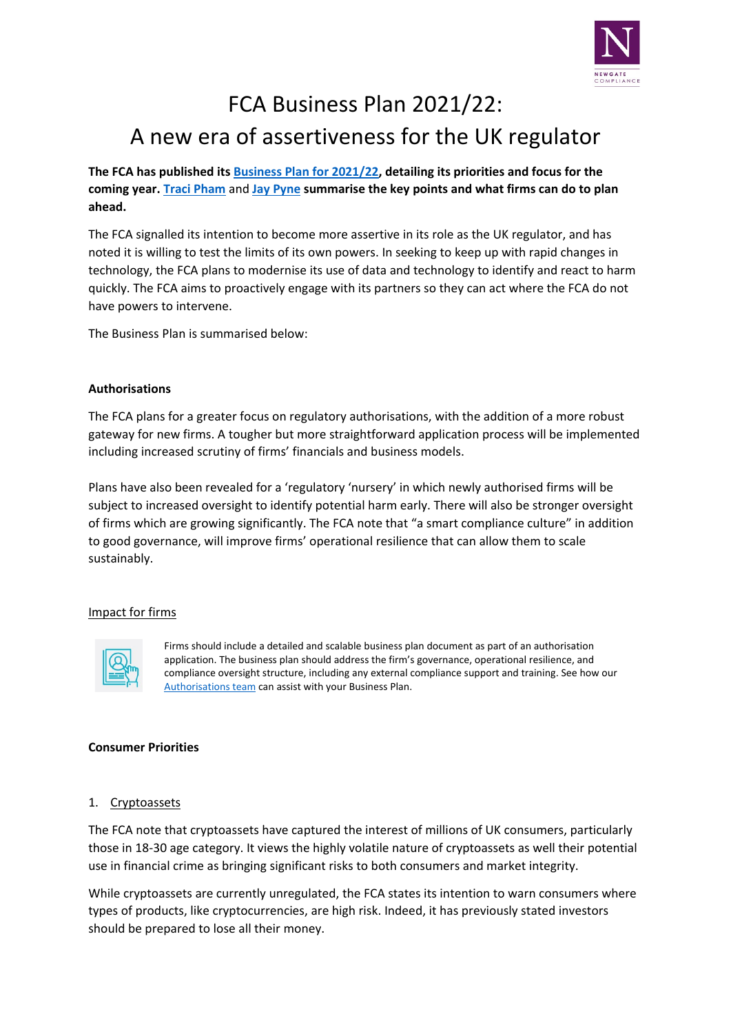

# FCA Business Plan 2021/22: A new era of assertiveness for the UK regulator

**The FCA has published its [Business Plan for 2021/22,](https://www.fca.org.uk/publication/business-plans/business-plan-2021-22.pdf) detailing its priorities and focus for the coming year. [Traci Pham](http://newgatecompliance.com/traci-pham)** and **[Jay Pyne](http://newgatecompliance.com/jay-pyne) summarise the key points and what firms can do to plan ahead.**

The FCA signalled its intention to become more assertive in its role as the UK regulator, and has noted it is willing to test the limits of its own powers. In seeking to keep up with rapid changes in technology, the FCA plans to modernise its use of data and technology to identify and react to harm quickly. The FCA aims to proactively engage with its partners so they can act where the FCA do not have powers to intervene.

The Business Plan is summarised below:

# **Authorisations**

The FCA plans for a greater focus on regulatory authorisations, with the addition of a more robust gateway for new firms. A tougher but more straightforward application process will be implemented including increased scrutiny of firms' financials and business models.

Plans have also been revealed for a 'regulatory 'nursery' in which newly authorised firms will be subject to increased oversight to identify potential harm early. There will also be stronger oversight of firms which are growing significantly. The FCA note that "a smart compliance culture" in addition to good governance, will improve firms' operational resilience that can allow them to scale sustainably.

### Impact for firms



Firms should include a detailed and scalable business plan document as part of an authorisation application. The business plan should address the firm's governance, operational resilience, and compliance oversight structure, including any external compliance support and training. See how our [Authorisations team](http://newgatecompliance.com/authorisation) can assist with your Business Plan.

### **Consumer Priorities**

### 1. Cryptoassets

The FCA note that cryptoassets have captured the interest of millions of UK consumers, particularly those in 18-30 age category. It views the highly volatile nature of cryptoassets as well their potential use in financial crime as bringing significant risks to both consumers and market integrity.

While cryptoassets are currently unregulated, the FCA states its intention to warn consumers where types of products, like cryptocurrencies, are high risk. Indeed, it has previously stated investors should be prepared to lose all their money.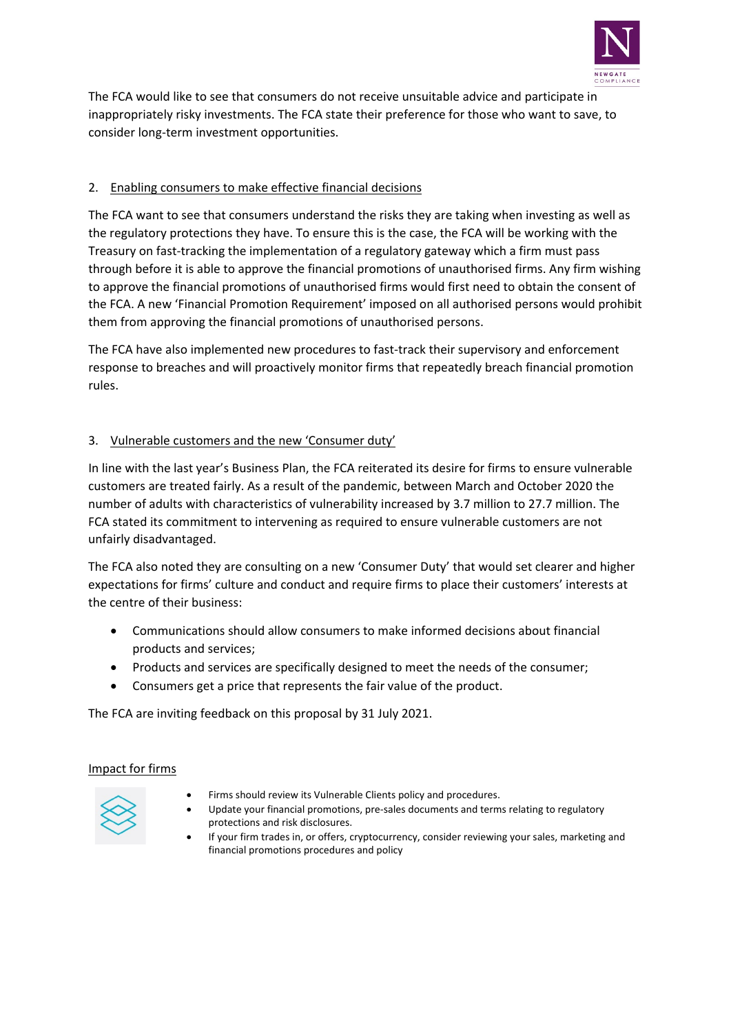

The FCA would like to see that consumers do not receive unsuitable advice and participate in inappropriately risky investments. The FCA state their preference for those who want to save, to consider long-term investment opportunities.

# 2. Enabling consumers to make effective financial decisions

The FCA want to see that consumers understand the risks they are taking when investing as well as the regulatory protections they have. To ensure this is the case, the FCA will be working with the Treasury on fast-tracking the implementation of a regulatory gateway which a firm must pass through before it is able to approve the financial promotions of unauthorised firms. Any firm wishing to approve the financial promotions of unauthorised firms would first need to obtain the consent of the FCA. A new 'Financial Promotion Requirement' imposed on all authorised persons would prohibit them from approving the financial promotions of unauthorised persons.

The FCA have also implemented new procedures to fast-track their supervisory and enforcement response to breaches and will proactively monitor firms that repeatedly breach financial promotion rules.

# 3. Vulnerable customers and the new 'Consumer duty'

In line with the last year's Business Plan, the FCA reiterated its desire for firms to ensure vulnerable customers are treated fairly. As a result of the pandemic, between March and October 2020 the number of adults with characteristics of vulnerability increased by 3.7 million to 27.7 million. The FCA stated its commitment to intervening as required to ensure vulnerable customers are not unfairly disadvantaged.

The FCA also noted they are consulting on a new 'Consumer Duty' that would set clearer and higher expectations for firms' culture and conduct and require firms to place their customers' interests at the centre of their business:

- Communications should allow consumers to make informed decisions about financial products and services;
- Products and services are specifically designed to meet the needs of the consumer;
- Consumers get a price that represents the fair value of the product.

The FCA are inviting feedback on this proposal by 31 July 2021.

### Impact for firms



- Firms should review its Vulnerable Clients policy and procedures.
- Update your financial promotions, pre-sales documents and terms relating to regulatory protections and risk disclosures.
	- If your firm trades in, or offers, cryptocurrency, consider reviewing your sales, marketing and financial promotions procedures and policy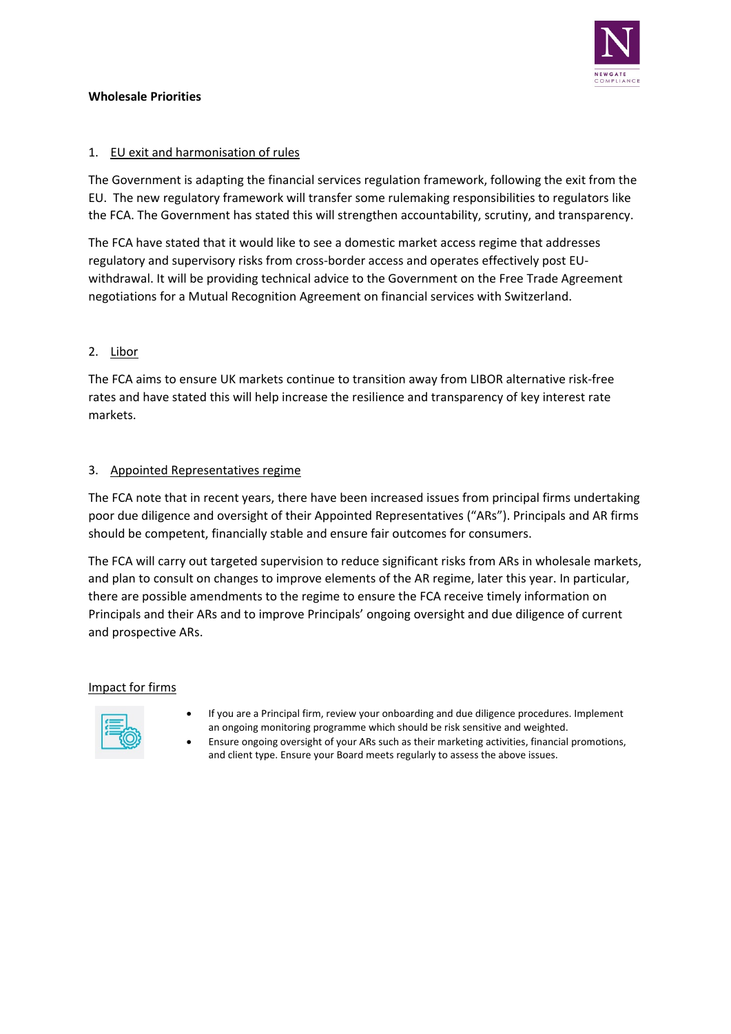

## **Wholesale Priorities**

# 1. EU exit and harmonisation of rules

The Government is adapting the financial services regulation framework, following the exit from the EU. The new regulatory framework will transfer some rulemaking responsibilities to regulators like the FCA. The Government has stated this will strengthen accountability, scrutiny, and transparency.

The FCA have stated that it would like to see a domestic market access regime that addresses regulatory and supervisory risks from cross-border access and operates effectively post EUwithdrawal. It will be providing technical advice to the Government on the Free Trade Agreement negotiations for a Mutual Recognition Agreement on financial services with Switzerland.

# 2. Libor

The FCA aims to ensure UK markets continue to transition away from LIBOR alternative risk-free rates and have stated this will help increase the resilience and transparency of key interest rate markets.

# 3. Appointed Representatives regime

The FCA note that in recent years, there have been increased issues from principal firms undertaking poor due diligence and oversight of their Appointed Representatives ("ARs"). Principals and AR firms should be competent, financially stable and ensure fair outcomes for consumers.

The FCA will carry out targeted supervision to reduce significant risks from ARs in wholesale markets, and plan to consult on changes to improve elements of the AR regime, later this year. In particular, there are possible amendments to the regime to ensure the FCA receive timely information on Principals and their ARs and to improve Principals' ongoing oversight and due diligence of current and prospective ARs.

### Impact for firms



- If you are a Principal firm, review your onboarding and due diligence procedures. Implement an ongoing monitoring programme which should be risk sensitive and weighted.
- Ensure ongoing oversight of your ARs such as their marketing activities, financial promotions, and client type. Ensure your Board meets regularly to assess the above issues.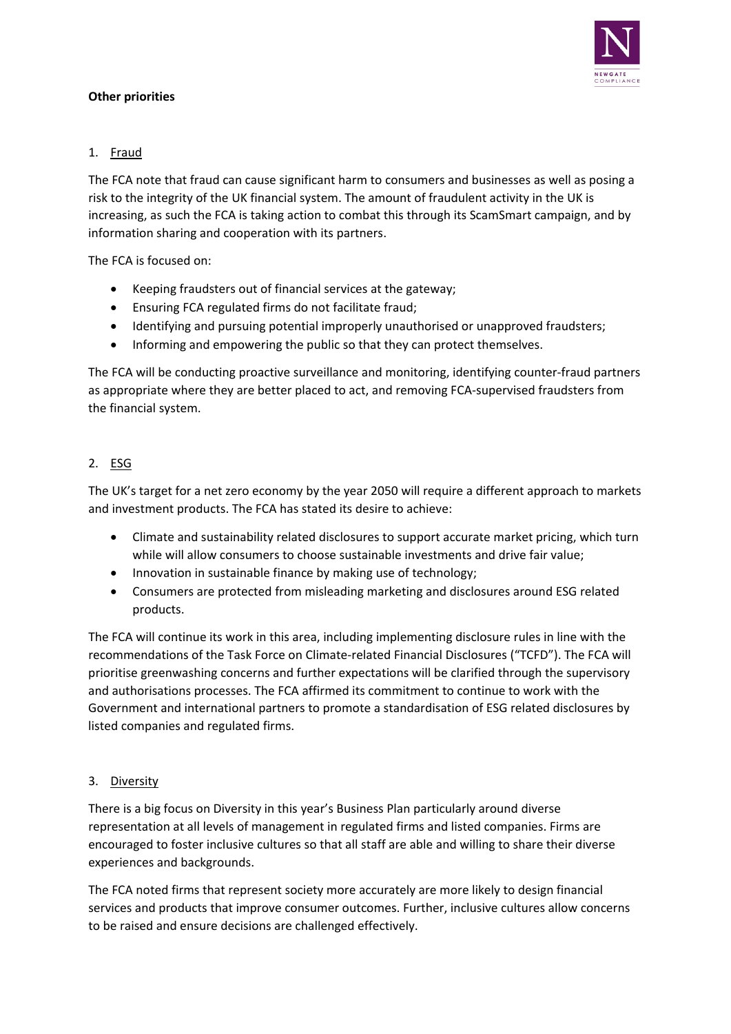

# **Other priorities**

# 1. Fraud

The FCA note that fraud can cause significant harm to consumers and businesses as well as posing a risk to the integrity of the UK financial system. The amount of fraudulent activity in the UK is increasing, as such the FCA is taking action to combat this through its ScamSmart campaign, and by information sharing and cooperation with its partners.

The FCA is focused on:

- Keeping fraudsters out of financial services at the gateway;
- Ensuring FCA regulated firms do not facilitate fraud;
- Identifying and pursuing potential improperly unauthorised or unapproved fraudsters;
- Informing and empowering the public so that they can protect themselves.

The FCA will be conducting proactive surveillance and monitoring, identifying counter-fraud partners as appropriate where they are better placed to act, and removing FCA-supervised fraudsters from the financial system.

# 2. ESG

The UK's target for a net zero economy by the year 2050 will require a different approach to markets and investment products. The FCA has stated its desire to achieve:

- Climate and sustainability related disclosures to support accurate market pricing, which turn while will allow consumers to choose sustainable investments and drive fair value;
- Innovation in sustainable finance by making use of technology;
- Consumers are protected from misleading marketing and disclosures around ESG related products.

The FCA will continue its work in this area, including implementing disclosure rules in line with the recommendations of the Task Force on Climate-related Financial Disclosures ("TCFD"). The FCA will prioritise greenwashing concerns and further expectations will be clarified through the supervisory and authorisations processes. The FCA affirmed its commitment to continue to work with the Government and international partners to promote a standardisation of ESG related disclosures by listed companies and regulated firms.

# 3. Diversity

There is a big focus on Diversity in this year's Business Plan particularly around diverse representation at all levels of management in regulated firms and listed companies. Firms are encouraged to foster inclusive cultures so that all staff are able and willing to share their diverse experiences and backgrounds.

The FCA noted firms that represent society more accurately are more likely to design financial services and products that improve consumer outcomes. Further, inclusive cultures allow concerns to be raised and ensure decisions are challenged effectively.